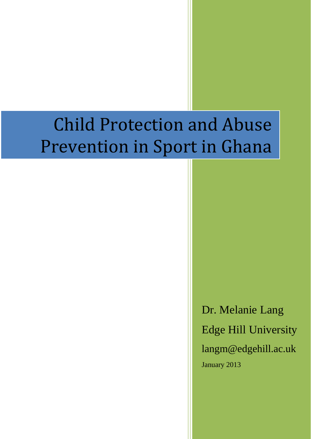# Child Protection and Abuse Prevention in Sport in Ghana

Dr. Melanie Lang Edge Hill University langm@edgehill.ac.uk January 2013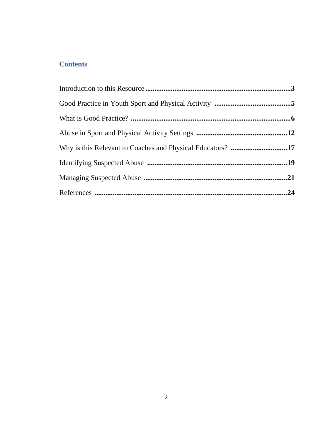# **Contents**

| Why is this Relevant to Coaches and Physical Educators? 17 |  |
|------------------------------------------------------------|--|
|                                                            |  |
|                                                            |  |
|                                                            |  |
|                                                            |  |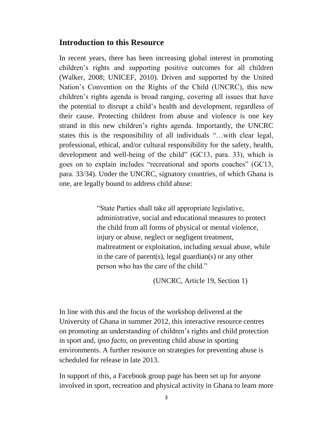#### **Introduction to this Resource**

In recent years, there has been increasing global interest in promoting children's rights and supporting positive outcomes for all children (Walker, 2008; UNICEF, 2010). Driven and supported by the United Nation's Convention on the Rights of the Child (UNCRC), this new children's rights agenda is broad ranging, covering all issues that have the potential to disrupt a child's health and development, regardless of their cause. Protecting children from abuse and violence is one key strand in this new children's rights agenda. Importantly, the UNCRC states this is the responsibility of all individuals "…with clear legal, professional, ethical, and/or cultural responsibility for the safety, health, development and well-being of the child" (GC13, para. 33), which is goes on to explain includes "recreational and sports coaches" (GC13, para. 33/34). Under the UNCRC, signatory countries, of which Ghana is one, are legally bound to address child abuse:

> "State Parties shall take all appropriate legislative, administrative, social and educational measures to protect the child from all forms of physical or mental violence, injury or abuse, neglect or negligent treatment. maltreatment or exploitation, including sexual abuse, while in the care of parent(s), legal guardian(s) or any other person who has the care of the child."

> > (UNCRC, Article 19, Section 1)

In line with this and the focus of the workshop delivered at the University of Ghana in summer 2012, this interactive resource centres on promoting an understanding of children's rights and child protection in sport and, *ipso facto*, on preventing child abuse in sporting environments. A further resource on strategies for preventing abuse is scheduled for release in late 2013.

In support of this, a Facebook group page has been set up for anyone involved in sport, recreation and physical activity in Ghana to learn more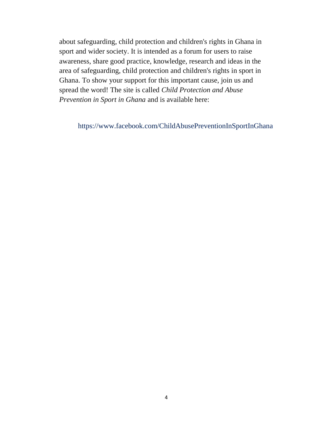about safeguarding, child protection and children's rights in Ghana in sport and wider society. It is intended as a forum for users to raise awareness, share good practice, knowledge, research and ideas in the area of safeguarding, child protection and children's rights in sport in Ghana. To show your support for this important cause, join us and spread the word! The site is called *Child Protection and Abuse Prevention in Sport in Ghana* and is available here:

https://www.facebook.com/ChildAbusePreventionInSportInGhana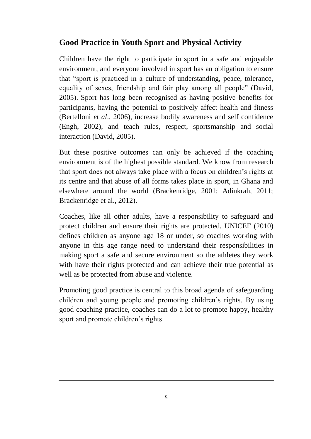# **Good Practice in Youth Sport and Physical Activity**

Children have the right to participate in sport in a safe and enjoyable environment, and everyone involved in sport has an obligation to ensure that "sport is practiced in a culture of understanding, peace, tolerance, equality of sexes, friendship and fair play among all people" (David, 2005). Sport has long been recognised as having positive benefits for participants, having the potential to positively affect health and fitness (Bertelloni *et al*., 2006), increase bodily awareness and self confidence (Engh, 2002), and teach rules, respect, sportsmanship and social interaction (David, 2005).

But these positive outcomes can only be achieved if the coaching environment is of the highest possible standard. We know from research that sport does not always take place with a focus on children's rights at its centre and that abuse of all forms takes place in sport, in Ghana and elsewhere around the world (Brackenridge, 2001; Adinkrah, 2011; Brackenridge et al., 2012).

Coaches, like all other adults, have a responsibility to safeguard and protect children and ensure their rights are protected. UNICEF (2010) defines children as anyone age 18 or under, so coaches working with anyone in this age range need to understand their responsibilities in making sport a safe and secure environment so the athletes they work with have their rights protected and can achieve their true potential as well as be protected from abuse and violence.

Promoting good practice is central to this broad agenda of safeguarding children and young people and promoting children's rights. By using good coaching practice, coaches can do a lot to promote happy, healthy sport and promote children's rights.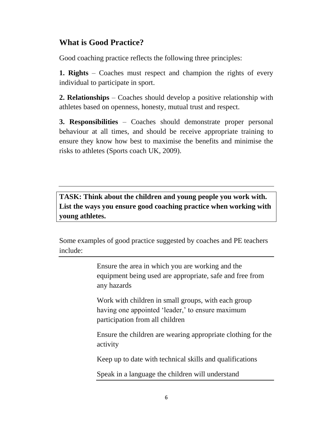# **What is Good Practice?**

Good coaching practice reflects the following three principles:

**1. Rights** – Coaches must respect and champion the rights of every individual to participate in sport.

**2. Relationships** – Coaches should develop a positive relationship with athletes based on openness, honesty, mutual trust and respect.

**3. Responsibilities** – Coaches should demonstrate proper personal behaviour at all times, and should be receive appropriate training to ensure they know how best to maximise the benefits and minimise the risks to athletes (Sports coach UK, 2009).

**TASK: Think about the children and young people you work with. List the ways you ensure good coaching practice when working with young athletes.**

Some examples of good practice suggested by coaches and PE teachers include:

> Ensure the area in which you are working and the equipment being used are appropriate, safe and free from any hazards

Work with children in small groups, with each group having one appointed 'leader,' to ensure maximum participation from all children

Ensure the children are wearing appropriate clothing for the activity

Keep up to date with technical skills and qualifications

Speak in a language the children will understand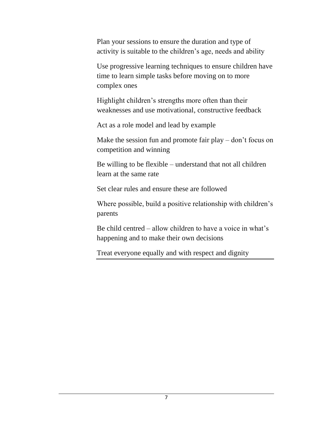Plan your sessions to ensure the duration and type of activity is suitable to the children's age, needs and ability

Use progressive learning techniques to ensure children have time to learn simple tasks before moving on to more complex ones

Highlight children's strengths more often than their weaknesses and use motivational, constructive feedback

Act as a role model and lead by example

Make the session fun and promote fair play – don't focus on competition and winning

Be willing to be flexible – understand that not all children learn at the same rate

Set clear rules and ensure these are followed

Where possible, build a positive relationship with children's parents

Be child centred – allow children to have a voice in what's happening and to make their own decisions

Treat everyone equally and with respect and dignity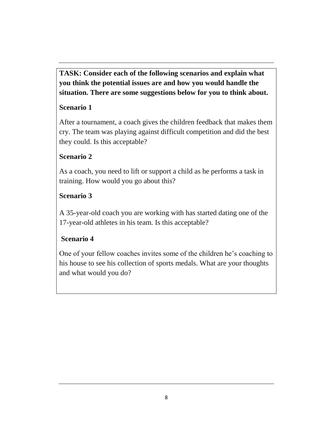**TASK: Consider each of the following scenarios and explain what you think the potential issues are and how you would handle the situation. There are some suggestions below for you to think about.**

# **Scenario 1**

After a tournament, a coach gives the children feedback that makes them cry. The team was playing against difficult competition and did the best they could. Is this acceptable?

# **Scenario 2**

As a coach, you need to lift or support a child as he performs a task in training. How would you go about this?

# **Scenario 3**

A 35-year-old coach you are working with has started dating one of the 17-year-old athletes in his team. Is this acceptable?

# **Scenario 4**

One of your fellow coaches invites some of the children he's coaching to his house to see his collection of sports medals. What are your thoughts and what would you do?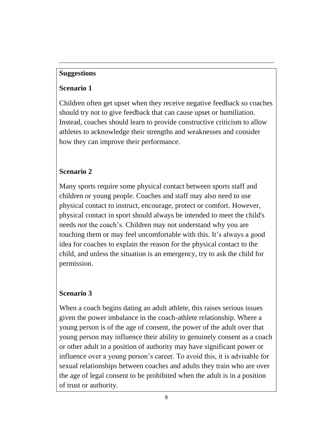## **Suggestions**

## **Scenario 1**

Children often get upset when they receive negative feedback so coaches should try not to give feedback that can cause upset or humiliation. Instead, coaches should learn to provide constructive criticism to allow athletes to acknowledge their strengths and weaknesses and consider how they can improve their performance.

# **Scenario 2**

Many sports require some physical contact between sports staff and children or young people. Coaches and staff may also need to use physical contact to instruct, encourage, protect or comfort. However, physical contact in sport should always be intended to meet the child's needs *not* the coach's. Children may not understand why you are touching them or may feel uncomfortable with this. It's always a good idea for coaches to explain the reason for the physical contact to the child, and unless the situation is an emergency, try to ask the child for permission.

# **Scenario 3**

When a coach begins dating an adult athlete, this raises serious issues given the power imbalance in the coach-athlete relationship. Where a young person is of the age of consent, the power of the adult over that young person may influence their ability to genuinely consent as a coach or other adult in a position of authority may have significant power or influence over a young person's career. To avoid this, it is advisable for sexual relationships between coaches and adults they train who are over the age of legal consent to be prohibited when the adult is in a position of trust or authority.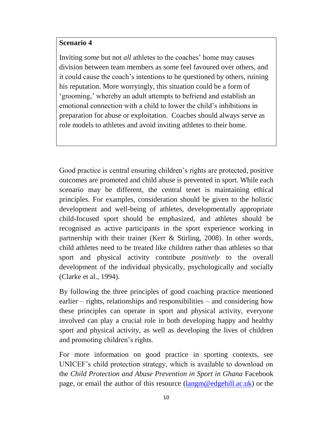#### **Scenario 4**

Inviting *some* but not *all* athletes to the coaches' home may causes division between team members as some feel favoured over others, and it could cause the coach's intentions to be questioned by others, ruining his reputation. More worryingly, this situation could be a form of 'grooming,' whereby an adult attempts to befriend and establish an emotional connection with a child to lower the child's inhibitions in preparation for abuse or exploitation. Coaches should always serve as role models to athletes and avoid inviting athletes to their home.

Good practice is central ensuring children's rights are protected, positive outcomes are promoted and child abuse is prevented in sport. While each scenario may be different, the central tenet is maintaining ethical principles. For examples, consideration should be given to the holistic development and well-being of athletes, developmentally appropriate child-focused sport should be emphasized, and athletes should be recognised as active participants in the sport experience working in partnership with their trainer (Kerr & Stirling, 2008). In other words, child athletes need to be treated like children rather than athletes so that sport and physical activity contribute *positively* to the overall development of the individual physically, psychologically and socially (Clarke et al., 1994).

By following the three principles of good coaching practice mentioned earlier – rights, relationships and responsibilities – and considering how these principles can operate in sport and physical activity, everyone involved can play a crucial role in both developing happy and healthy sport and physical activity, as well as developing the lives of children and promoting children's rights.

For more information on good practice in sporting contexts, see UNICEF's child protection strategy, which is available to download on the *Child Protection and Abuse Prevention in Sport in Ghana* Facebook page, or email the author of this resource [\(langm@edgehill.ac.uk\)](mailto:langm@edgehill.ac.uk) or the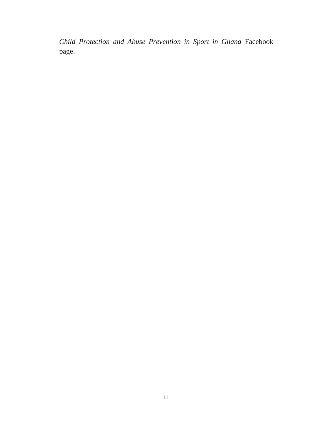*Child Protection and Abuse Prevention in Sport in Ghana* Facebook page.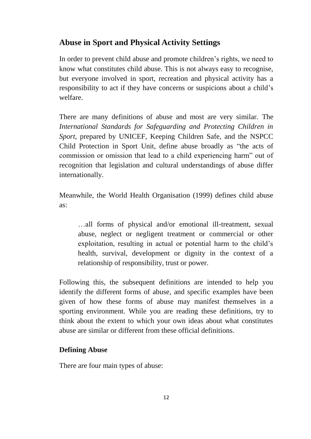# **Abuse in Sport and Physical Activity Settings**

In order to prevent child abuse and promote children's rights, we need to know what constitutes child abuse. This is not always easy to recognise, but everyone involved in sport, recreation and physical activity has a responsibility to act if they have concerns or suspicions about a child's welfare.

There are many definitions of abuse and most are very similar. The *International Standards for Safeguarding and Protecting Children in Sport*, prepared by UNICEF, Keeping Children Safe, and the NSPCC Child Protection in Sport Unit, define abuse broadly as "the acts of commission or omission that lead to a child experiencing harm" out of recognition that legislation and cultural understandings of abuse differ internationally.

Meanwhile, the World Health Organisation (1999) defines child abuse as:

…all forms of physical and/or emotional ill-treatment, sexual abuse, neglect or negligent treatment or commercial or other exploitation, resulting in actual or potential harm to the child's health, survival, development or dignity in the context of a relationship of responsibility, trust or power.

Following this, the subsequent definitions are intended to help you identify the different forms of abuse, and specific examples have been given of how these forms of abuse may manifest themselves in a sporting environment. While you are reading these definitions, try to think about the extent to which your own ideas about what constitutes abuse are similar or different from these official definitions.

## **Defining Abuse**

There are four main types of abuse: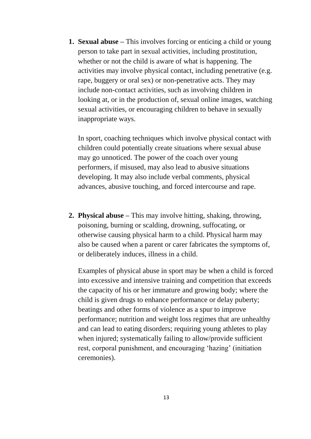**1. Sexual abuse –** This involves forcing or enticing a child or young person to take part in sexual activities, including prostitution, whether or not the child is aware of what is happening. The activities may involve physical contact, including penetrative (e.g. rape, buggery or oral sex) or non-penetrative acts. They may include non-contact activities, such as involving children in looking at, or in the production of, sexual online images, watching sexual activities, or encouraging children to behave in sexually inappropriate ways.

In sport, coaching techniques which involve physical contact with children could potentially create situations where sexual abuse may go unnoticed. The power of the coach over young performers, if misused, may also lead to abusive situations developing. It may also include verbal comments, physical advances, abusive touching, and forced intercourse and rape.

**2. Physical abuse –** This may involve hitting, shaking, throwing, poisoning, burning or scalding, drowning, suffocating, or otherwise causing physical harm to a child. Physical harm may also be caused when a parent or carer fabricates the symptoms of, or deliberately induces, illness in a child.

Examples of physical abuse in sport may be when a child is forced into excessive and intensive training and competition that exceeds the capacity of his or her immature and growing body; where the child is given drugs to enhance performance or delay puberty; beatings and other forms of violence as a spur to improve performance; nutrition and weight loss regimes that are unhealthy and can lead to eating disorders; requiring young athletes to play when injured; systematically failing to allow/provide sufficient rest, corporal punishment, and encouraging 'hazing' (initiation ceremonies).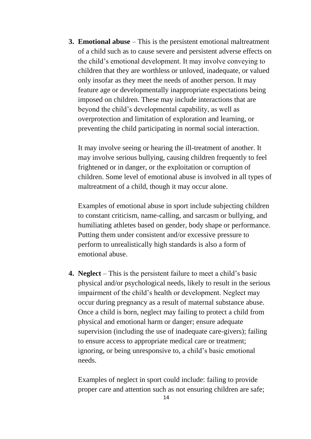**3. Emotional abuse** – This is the persistent emotional maltreatment of a child such as to cause severe and persistent adverse effects on the child's emotional development. It may involve conveying to children that they are worthless or unloved, inadequate, or valued only insofar as they meet the needs of another person. It may feature age or developmentally inappropriate expectations being imposed on children. These may include interactions that are beyond the child's developmental capability, as well as overprotection and limitation of exploration and learning, or preventing the child participating in normal social interaction.

It may involve seeing or hearing the ill-treatment of another. It may involve serious bullying, causing children frequently to feel frightened or in danger, or the exploitation or corruption of children. Some level of emotional abuse is involved in all types of maltreatment of a child, though it may occur alone.

Examples of emotional abuse in sport include subjecting children to constant criticism, name-calling, and sarcasm or bullying, and humiliating athletes based on gender, body shape or performance. Putting them under consistent and/or excessive pressure to perform to unrealistically high standards is also a form of emotional abuse.

**4. Neglect** – This is the persistent failure to meet a child's basic physical and/or psychological needs, likely to result in the serious impairment of the child's health or development. Neglect may occur during pregnancy as a result of maternal substance abuse. Once a child is born, neglect may failing to protect a child from physical and emotional harm or danger; ensure adequate supervision (including the use of inadequate care-givers); failing to ensure access to appropriate medical care or treatment; ignoring, or being unresponsive to, a child's basic emotional needs.

Examples of neglect in sport could include: failing to provide proper care and attention such as not ensuring children are safe;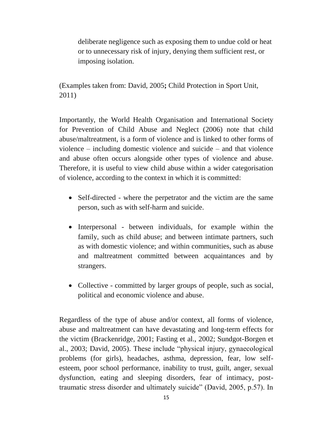deliberate negligence such as exposing them to undue cold or heat or to unnecessary risk of injury, denying them sufficient rest, or imposing isolation.

(Examples taken from: David, 2005**;** Child Protection in Sport Unit, 2011)

Importantly, the World Health Organisation and International Society for Prevention of Child Abuse and Neglect (2006) note that child abuse/maltreatment, is a form of violence and is linked to other forms of violence – including domestic violence and suicide – and that violence and abuse often occurs alongside other types of violence and abuse. Therefore, it is useful to view child abuse within a wider categorisation of violence, according to the context in which it is committed:

- Self-directed where the perpetrator and the victim are the same person, such as with self-harm and suicide.
- Interpersonal between individuals, for example within the family, such as child abuse; and between intimate partners, such as with domestic violence; and within communities, such as abuse and maltreatment committed between acquaintances and by strangers.
- Collective committed by larger groups of people, such as social, political and economic violence and abuse.

Regardless of the type of abuse and/or context, all forms of violence, abuse and maltreatment can have devastating and long-term effects for the victim (Brackenridge, 2001; Fasting et al., 2002; Sundgot-Borgen et al., 2003; David, 2005). These include "physical injury, gynaecological problems (for girls), headaches, asthma, depression, fear, low selfesteem, poor school performance, inability to trust, guilt, anger, sexual dysfunction, eating and sleeping disorders, fear of intimacy, posttraumatic stress disorder and ultimately suicide" (David, 2005, p.57). In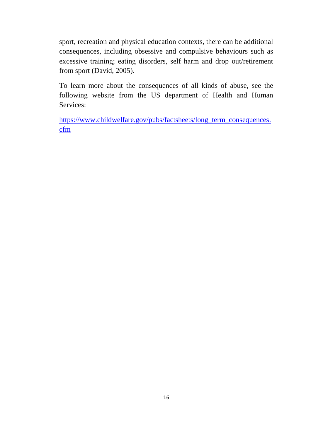sport, recreation and physical education contexts, there can be additional consequences, including obsessive and compulsive behaviours such as excessive training; eating disorders, self harm and drop out/retirement from sport (David, 2005).

To learn more about the consequences of all kinds of abuse, see the following website from the US department of Health and Human Services:

[https://www.childwelfare.gov/pubs/factsheets/long\\_term\\_consequences.](https://www.childwelfare.gov/pubs/factsheets/long_term_consequences.cfm) [cfm](https://www.childwelfare.gov/pubs/factsheets/long_term_consequences.cfm)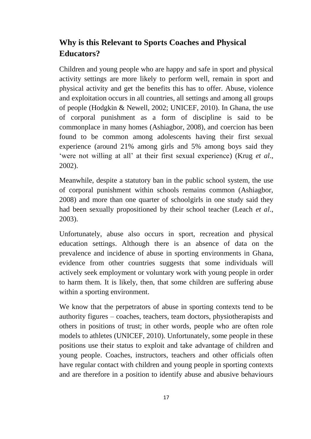# **Why is this Relevant to Sports Coaches and Physical Educators?**

Children and young people who are happy and safe in sport and physical activity settings are more likely to perform well, remain in sport and physical activity and get the benefits this has to offer. Abuse, violence and exploitation occurs in all countries, all settings and among all groups of people (Hodgkin & Newell, 2002; UNICEF, 2010). In Ghana, the use of corporal punishment as a form of discipline is said to be commonplace in many homes (Ashiagbor, 2008), and coercion has been found to be common among adolescents having their first sexual experience (around 21% among girls and 5% among boys said they 'were not willing at all' at their first sexual experience) (Krug *et al*., 2002).

Meanwhile, despite a statutory ban in the public school system, the use of corporal punishment within schools remains common (Ashiagbor, 2008) and more than one quarter of schoolgirls in one study said they had been sexually propositioned by their school teacher (Leach *et al*., 2003).

Unfortunately, abuse also occurs in sport, recreation and physical education settings. Although there is an absence of data on the prevalence and incidence of abuse in sporting environments in Ghana, evidence from other countries suggests that some individuals will actively seek employment or voluntary work with young people in order to harm them. It is likely, then, that some children are suffering abuse within a sporting environment.

We know that the perpetrators of abuse in sporting contexts tend to be authority figures – coaches, teachers, team doctors, physiotherapists and others in positions of trust; in other words, people who are often role models to athletes (UNICEF, 2010). Unfortunately, some people in these positions use their status to exploit and take advantage of children and young people. Coaches, instructors, teachers and other officials often have regular contact with children and young people in sporting contexts and are therefore in a position to identify abuse and abusive behaviours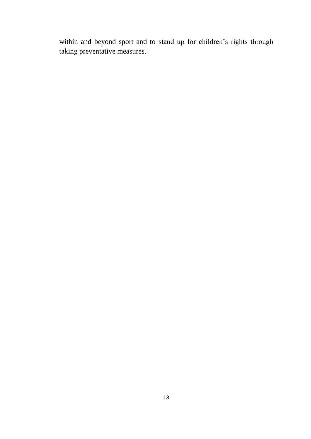within and beyond sport and to stand up for children's rights through taking preventative measures.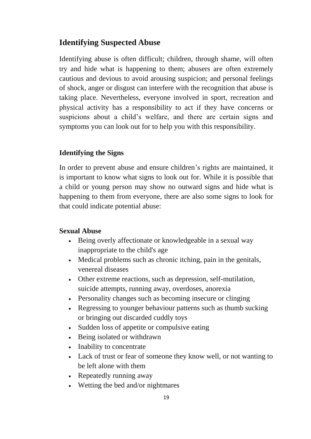# **Identifying Suspected Abuse**

Identifying abuse is often difficult; children, through shame, will often try and hide what is happening to them; abusers are often extremely cautious and devious to avoid arousing suspicion; and personal feelings of shock, anger or disgust can interfere with the recognition that abuse is taking place. Nevertheless, everyone involved in sport, recreation and physical activity has a responsibility to act if they have concerns or suspicions about a child's welfare, and there are certain signs and symptoms you can look out for to help you with this responsibility.

## **Identifying the Signs**

In order to prevent abuse and ensure children's rights are maintained, it is important to know what signs to look out for. While it is possible that a child or young person may show no outward signs and hide what is happening to them from everyone, there are also some signs to look for that could indicate potential abuse:

## **Sexual Abuse**

- Being overly affectionate or knowledgeable in a sexual way inappropriate to the child's age
- Medical problems such as chronic itching, pain in the genitals, venereal diseases
- Other extreme reactions, such as depression, self-mutilation, suicide attempts, running away, overdoses, anorexia
- Personality changes such as becoming insecure or clinging
- Regressing to younger behaviour patterns such as thumb sucking or bringing out discarded cuddly toys
- Sudden loss of appetite or compulsive eating
- Being isolated or withdrawn
- Inability to concentrate
- Lack of trust or fear of someone they know well, or not wanting to be left alone with them
- Repeatedly running away
- Wetting the bed and/or nightmares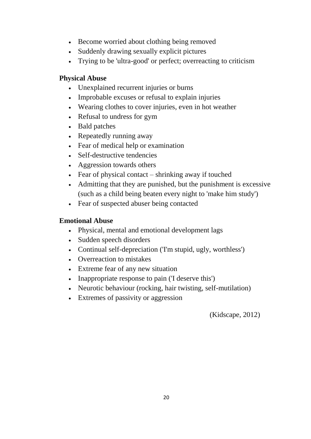- Become worried about clothing being removed
- Suddenly drawing sexually explicit pictures
- Trying to be 'ultra-good' or perfect; overreacting to criticism

## **Physical Abuse**

- Unexplained recurrent injuries or burns
- Improbable excuses or refusal to explain injuries
- Wearing clothes to cover injuries, even in hot weather
- Refusal to undress for gym
- Bald patches
- Repeatedly running away
- Fear of medical help or examination
- Self-destructive tendencies
- Aggression towards others
- Fear of physical contact shrinking away if touched
- Admitting that they are punished, but the punishment is excessive (such as a child being beaten every night to 'make him study')
- Fear of suspected abuser being contacted

## **Emotional Abuse**

- Physical, mental and emotional development lags
- Sudden speech disorders
- Continual self-depreciation (Tm stupid, ugly, worthless')
- Overreaction to mistakes
- Extreme fear of any new situation
- Inappropriate response to pain (T deserve this')
- Neurotic behaviour (rocking, hair twisting, self-mutilation)
- Extremes of passivity or aggression

(Kidscape, 2012)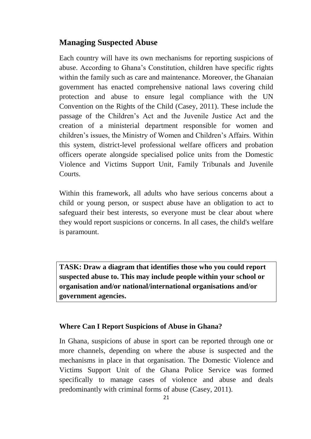# **Managing Suspected Abuse**

Each country will have its own mechanisms for reporting suspicions of abuse. According to Ghana's Constitution, children have specific rights within the family such as care and maintenance. Moreover, the Ghanaian government has enacted comprehensive national laws covering child protection and abuse to ensure legal compliance with the UN Convention on the Rights of the Child (Casey, 2011). These include the passage of the Children's Act and the Juvenile Justice Act and the creation of a ministerial department responsible for women and children's issues, the Ministry of Women and Children's Affairs. Within this system, district-level professional welfare officers and probation officers operate alongside specialised police units from the Domestic Violence and Victims Support Unit, Family Tribunals and Juvenile Courts.

Within this framework, all adults who have serious concerns about a child or young person, or suspect abuse have an obligation to act to safeguard their best interests, so everyone must be clear about where they would report suspicions or concerns. In all cases, the child's welfare is paramount.

**TASK: Draw a diagram that identifies those who you could report suspected abuse to. This may include people within your school or organisation and/or national/international organisations and/or government agencies.** 

## **Where Can I Report Suspicions of Abuse in Ghana?**

In Ghana, suspicions of abuse in sport can be reported through one or more channels, depending on where the abuse is suspected and the mechanisms in place in that organisation. The Domestic Violence and Victims Support Unit of the Ghana Police Service was formed specifically to manage cases of violence and abuse and deals predominantly with criminal forms of abuse (Casey, 2011).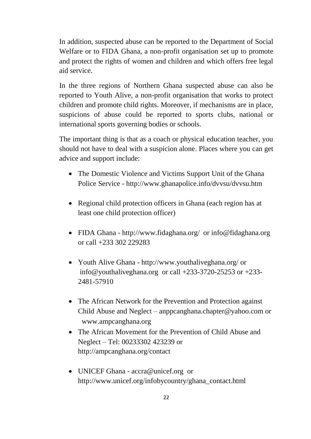In addition, suspected abuse can be reported to the Department of Social Welfare or to FIDA Ghana, a non-profit organisation set up to promote and protect the rights of women and children and which offers free legal aid service.

In the three regions of Northern Ghana suspected abuse can also be reported to Youth Alive, a non-profit organisation that works to protect children and promote child rights. Moreover, if mechanisms are in place, suspicions of abuse could be reported to sports clubs, national or international sports governing bodies or schools.

The important thing is that as a coach or physical education teacher, you should not have to deal with a suspicion alone. Places where you can get advice and support include:

- The Domestic Violence and Victims Support Unit of the Ghana Police Service - <http://www.ghanapolice.info/dvvsu/dvvsu.htm>
- Regional child protection officers in Ghana (each region has at least one child protection officer)
- FIDA Ghana <http://www.fidaghana.org/>or [info@fidaghana.org](mailto:info@fidaghana.org) or call +233 302 229283
- Youth Alive Ghana <http://www.youthaliveghana.org/> or [info@youthaliveghana.org](mailto:info@youthaliveghana.org) or call +233-3720-25253 or +233- 2481-57910
- The African Network for the Prevention and Protection against Child Abuse and Neglect – [anppcanghana.chapter@yahoo.com](mailto:anppcanghana.chapter@yahoo.com) or www.ampcanghana.org
- The African Movement for the Prevention of Child Abuse and Neglect – Tel: 00233302 423239 or <http://ampcanghana.org/contact>
- UNICEF Ghana [accra@unicef.org](mailto:accra@unicef.org) or [http://www.unicef.org/infobycountry/ghana\\_contact.html](http://www.unicef.org/infobycountry/ghana_contact.html)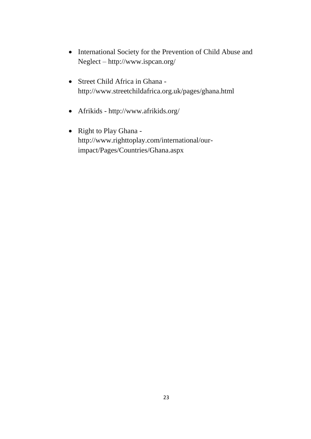- International Society for the Prevention of Child Abuse and Neglect – <http://www.ispcan.org/>
- Street Child Africa in Ghana <http://www.streetchildafrica.org.uk/pages/ghana.html>
- Afrikids <http://www.afrikids.org/>
- Right to Play Ghana [http://www.righttoplay.com/international/our](http://www.righttoplay.com/international/our-impact/Pages/Countries/Ghana.aspx)[impact/Pages/Countries/Ghana.aspx](http://www.righttoplay.com/international/our-impact/Pages/Countries/Ghana.aspx)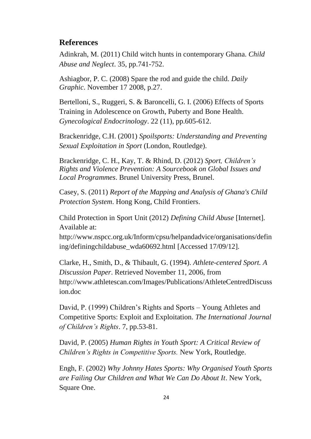## **References**

Adinkrah, M. (2011) Child witch hunts in contemporary Ghana. *Child Abuse and Neglect*. 35, pp.741-752.

Ashiagbor, P. C. (2008) Spare the rod and guide the child. *Daily Graphic*. November 17 2008, p.27.

Bertelloni, S., Ruggeri, S. & Baroncelli, G. I. (2006) Effects of Sports Training in Adolescence on Growth, Puberty and Bone Health. *Gynecological Endocrinology*. 22 (11), pp.605-612.

Brackenridge, C.H. (2001) *Spoilsports: Understanding and Preventing Sexual Exploitation in Sport* (London, Routledge).

Brackenridge, C. H., Kay, T. & Rhind, D. (2012) *Sport, Children's Rights and Violence Prevention: A Sourcebook on Global Issues and Local Programmes*. Brunel University Press, Brunel.

Casey, S. (2011) *Report of the Mapping and Analysis of Ghana's Child Protection System*. Hong Kong, Child Frontiers.

Child Protection in Sport Unit (2012) *Defining Child Abuse* [Internet]. Available at:

[http://www.nspcc.org.uk/Inform/cpsu/helpandadvice/organisations/defin](http://www.nspcc.org.uk/Inform/cpsu/helpandadvice/organisations/defining/definingchildabuse_wda60692.html) [ing/definingchildabuse\\_wda60692.html](http://www.nspcc.org.uk/Inform/cpsu/helpandadvice/organisations/defining/definingchildabuse_wda60692.html) [Accessed 17/09/12].

Clarke, H., Smith, D., & Thibault, G. (1994). *Athlete-centered Sport. A Discussion Paper*. Retrieved November 11, 2006, from http://www.athletescan.com/Images/Publications/AthleteCentredDiscuss ion.doc

David, P. (1999) Children's Rights and Sports – Young Athletes and Competitive Sports: Exploit and Exploitation. *The International Journal of Children's Rights*. 7, pp.53-81.

David, P. (2005) *Human Rights in Youth Sport: A Critical Review of Children's Rights in Competitive Sports.* New York, Routledge.

Engh, F. (2002) *Why Johnny Hates Sports: Why Organised Youth Sports are Failing Our Children and What We Can Do About It*. New York, Square One.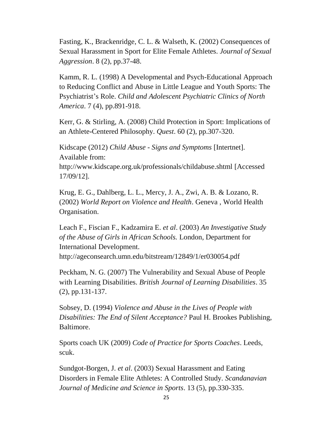Fasting, K., Brackenridge, C. L. & Walseth, K. (2002) Consequences of Sexual Harassment in Sport for Elite Female Athletes. *Journal of Sexual Aggression*. 8 (2), pp.37-48.

Kamm, R. L. (1998) A Developmental and Psych-Educational Approach to Reducing Conflict and Abuse in Little League and Youth Sports: The Psychiatrist's Role. *Child and Adolescent Psychiatric Clinics of North America*. 7 (4), pp.891-918.

Kerr, G. & Stirling, A. (2008) Child Protection in Sport: Implications of an Athlete**-**Centered Philosophy. *Quest*. 60 (2), pp.307-320.

Kidscape (2012) *Child Abuse - Signs and Symptoms* [Intertnet]. Available from:

<http://www.kidscape.org.uk/professionals/childabuse.shtml> [Accessed 17/09/12].

Krug, E. G., Dahlberg, L. L., Mercy, J. A., Zwi, A. B. & Lozano, R. (2002) *World Report on Violence and Health*. Geneva , World Health Organisation.

Leach F., Fiscian F., Kadzamira E. *et al*. (2003) *An Investigative Study of the Abuse of Girls in African Schools.* London, Department for International Development.

http://ageconsearch.umn.edu/bitstream/12849/1/er030054.pdf

Peckham, N. G. (2007) The Vulnerability and Sexual Abuse of People with Learning Disabilities. *British Journal of Learning Disabilities*. 35 (2), pp.131-137.

Sobsey, D. (1994) *Violence and Abuse in the Lives of People with Disabilities: The End of Silent Acceptance?* Paul H. Brookes Publishing, Baltimore.

Sports coach UK (2009) *Code of Practice for Sports Coaches*. Leeds, scuk.

Sundgot-Borgen, J. *et al*. (2003) Sexual Harassment and Eating Disorders in Female Elite Athletes: A Controlled Study. *Scandanavian Journal of Medicine and Science in Sports*. 13 (5), pp.330-335.